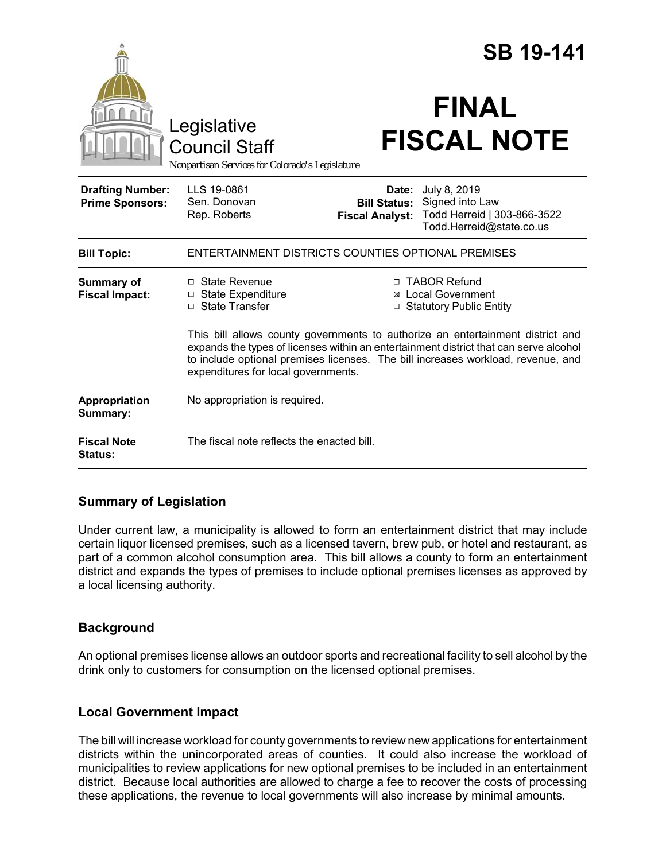|                                                   |                                                                                                                                                                                                                                                                                                    |                                 | <b>SB 19-141</b>                                                                                               |  |
|---------------------------------------------------|----------------------------------------------------------------------------------------------------------------------------------------------------------------------------------------------------------------------------------------------------------------------------------------------------|---------------------------------|----------------------------------------------------------------------------------------------------------------|--|
|                                                   | Legislative<br><b>Council Staff</b><br>Nonpartisan Services for Colorado's Legislature                                                                                                                                                                                                             |                                 | <b>FINAL</b><br><b>FISCAL NOTE</b>                                                                             |  |
| <b>Drafting Number:</b><br><b>Prime Sponsors:</b> | LLS 19-0861<br>Sen. Donovan<br>Rep. Roberts                                                                                                                                                                                                                                                        | Date:<br><b>Fiscal Analyst:</b> | July 8, 2019<br><b>Bill Status:</b> Signed into Law<br>Todd Herreid   303-866-3522<br>Todd.Herreid@state.co.us |  |
| <b>Bill Topic:</b>                                | ENTERTAINMENT DISTRICTS COUNTIES OPTIONAL PREMISES                                                                                                                                                                                                                                                 |                                 |                                                                                                                |  |
| <b>Summary of</b><br><b>Fiscal Impact:</b>        | $\Box$ State Revenue<br>$\Box$ State Expenditure<br>□ State Transfer                                                                                                                                                                                                                               |                                 | □ TABOR Refund<br><b>⊠</b> Local Government<br>□ Statutory Public Entity                                       |  |
|                                                   | This bill allows county governments to authorize an entertainment district and<br>expands the types of licenses within an entertainment district that can serve alcohol<br>to include optional premises licenses. The bill increases workload, revenue, and<br>expenditures for local governments. |                                 |                                                                                                                |  |
| Appropriation<br>Summary:                         | No appropriation is required.                                                                                                                                                                                                                                                                      |                                 |                                                                                                                |  |
| <b>Fiscal Note</b><br>Status:                     | The fiscal note reflects the enacted bill.                                                                                                                                                                                                                                                         |                                 |                                                                                                                |  |

## **Summary of Legislation**

Under current law, a municipality is allowed to form an entertainment district that may include certain liquor licensed premises, such as a licensed tavern, brew pub, or hotel and restaurant, as part of a common alcohol consumption area. This bill allows a county to form an entertainment district and expands the types of premises to include optional premises licenses as approved by a local licensing authority.

## **Background**

An optional premises license allows an outdoor sports and recreational facility to sell alcohol by the drink only to customers for consumption on the licensed optional premises.

## **Local Government Impact**

The bill will increase workload for county governments to review new applications for entertainment districts within the unincorporated areas of counties. It could also increase the workload of municipalities to review applications for new optional premises to be included in an entertainment district. Because local authorities are allowed to charge a fee to recover the costs of processing these applications, the revenue to local governments will also increase by minimal amounts.